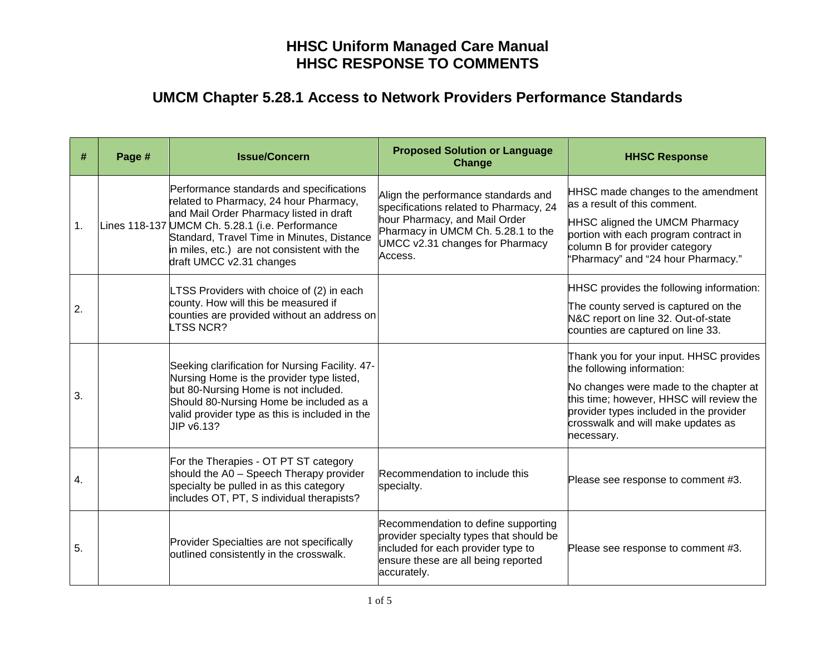| #  | Page # | <b>Issue/Concern</b>                                                                                                                                                                                                                                                                                      | <b>Proposed Solution or Language</b><br><b>Change</b>                                                                                                                                              | <b>HHSC Response</b>                                                                                                                                                                                                                                       |
|----|--------|-----------------------------------------------------------------------------------------------------------------------------------------------------------------------------------------------------------------------------------------------------------------------------------------------------------|----------------------------------------------------------------------------------------------------------------------------------------------------------------------------------------------------|------------------------------------------------------------------------------------------------------------------------------------------------------------------------------------------------------------------------------------------------------------|
| 1. |        | Performance standards and specifications<br>related to Pharmacy, 24 hour Pharmacy,<br>and Mail Order Pharmacy listed in draft<br>Lines 118-137 UMCM Ch. 5.28.1 (i.e. Performance<br>Standard, Travel Time in Minutes, Distance<br>in miles, etc.) are not consistent with the<br>draft UMCC v2.31 changes | Align the performance standards and<br>specifications related to Pharmacy, 24<br>hour Pharmacy, and Mail Order<br>Pharmacy in UMCM Ch. 5.28.1 to the<br>UMCC v2.31 changes for Pharmacy<br>Access. | HHSC made changes to the amendment<br>as a result of this comment.<br>HHSC aligned the UMCM Pharmacy<br>portion with each program contract in<br>column B for provider category<br>"Pharmacy" and "24 hour Pharmacy."                                      |
| 2. |        | LTSS Providers with choice of (2) in each<br>county. How will this be measured if<br>counties are provided without an address on<br>LTSS NCR?                                                                                                                                                             |                                                                                                                                                                                                    | HHSC provides the following information:<br>The county served is captured on the<br>N&C report on line 32. Out-of-state<br>counties are captured on line 33.                                                                                               |
| 3. |        | Seeking clarification for Nursing Facility. 47-<br>Nursing Home is the provider type listed,<br>but 80-Nursing Home is not included.<br>Should 80-Nursing Home be included as a<br>valid provider type as this is included in the<br>UIP v6.13?                                                           |                                                                                                                                                                                                    | Thank you for your input. HHSC provides<br>the following information:<br>No changes were made to the chapter at<br>this time; however, HHSC will review the<br>provider types included in the provider<br>crosswalk and will make updates as<br>necessary. |
| 4. |        | For the Therapies - OT PT ST category<br>should the A0 - Speech Therapy provider<br>specialty be pulled in as this category<br>includes OT, PT, S individual therapists?                                                                                                                                  | Recommendation to include this<br>specialty.                                                                                                                                                       | Please see response to comment #3.                                                                                                                                                                                                                         |
| 5. |        | Provider Specialties are not specifically<br>outlined consistently in the crosswalk.                                                                                                                                                                                                                      | Recommendation to define supporting<br>provider specialty types that should be<br>included for each provider type to<br>ensure these are all being reported<br>accurately.                         | Please see response to comment #3.                                                                                                                                                                                                                         |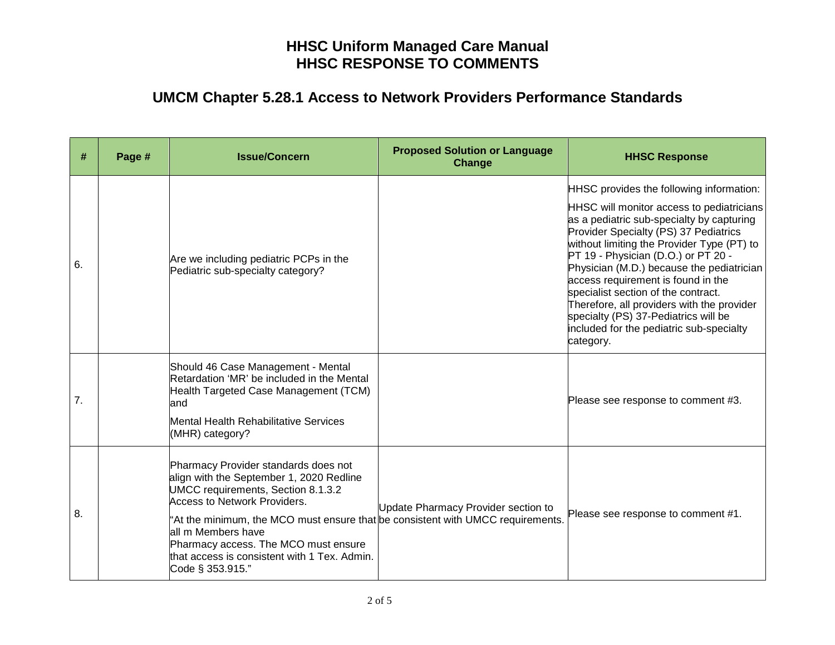| #  | Page # | <b>Issue/Concern</b>                                                                                                                                                                                                                                                                                                                                                        | <b>Proposed Solution or Language</b><br>Change | <b>HHSC Response</b>                                                                                                                                                                                                                                                                                                                                                                                                                                                                                                                      |
|----|--------|-----------------------------------------------------------------------------------------------------------------------------------------------------------------------------------------------------------------------------------------------------------------------------------------------------------------------------------------------------------------------------|------------------------------------------------|-------------------------------------------------------------------------------------------------------------------------------------------------------------------------------------------------------------------------------------------------------------------------------------------------------------------------------------------------------------------------------------------------------------------------------------------------------------------------------------------------------------------------------------------|
| 6. |        | Are we including pediatric PCPs in the<br>Pediatric sub-specialty category?                                                                                                                                                                                                                                                                                                 |                                                | HHSC provides the following information:<br>HHSC will monitor access to pediatricians<br>as a pediatric sub-specialty by capturing<br>Provider Specialty (PS) 37 Pediatrics<br>without limiting the Provider Type (PT) to<br>PT 19 - Physician (D.O.) or PT 20 -<br>Physician (M.D.) because the pediatrician<br>access requirement is found in the<br>specialist section of the contract.<br>Therefore, all providers with the provider<br>specialty (PS) 37-Pediatrics will be<br>included for the pediatric sub-specialty<br>category. |
| 7. |        | Should 46 Case Management - Mental<br>Retardation 'MR' be included in the Mental<br>Health Targeted Case Management (TCM)<br>land<br>Mental Health Rehabilitative Services<br>(MHR) category?                                                                                                                                                                               |                                                | Please see response to comment #3.                                                                                                                                                                                                                                                                                                                                                                                                                                                                                                        |
| 8. |        | Pharmacy Provider standards does not<br>align with the September 1, 2020 Redline<br>UMCC requirements, Section 8.1.3.2<br>Access to Network Providers.<br>"At the minimum, the MCO must ensure that be consistent with UMCC requirements.<br>all m Members have<br>Pharmacy access. The MCO must ensure<br>that access is consistent with 1 Tex. Admin.<br>Code § 353.915." | Update Pharmacy Provider section to            | Please see response to comment #1.                                                                                                                                                                                                                                                                                                                                                                                                                                                                                                        |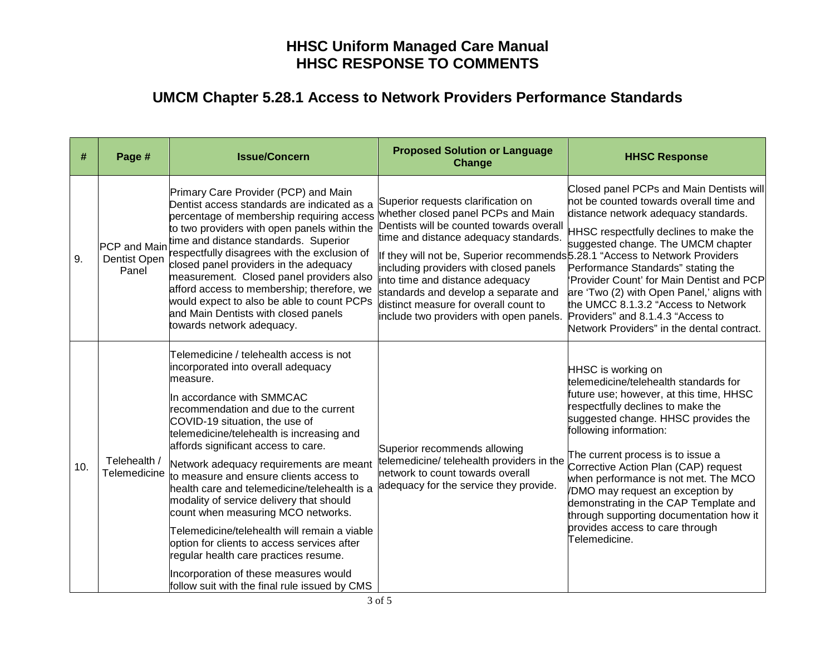| #   | Page #                                       | <b>Issue/Concern</b>                                                                                                                                                                                                                                                                                                                                                                                                                                                                                                                                                                                                                                                                                                                             | <b>Proposed Solution or Language</b><br>Change                                                                                                                                                                                                                                                                                                                                                                   | <b>HHSC Response</b>                                                                                                                                                                                                                                                                                                                                                                                                                                                                                          |
|-----|----------------------------------------------|--------------------------------------------------------------------------------------------------------------------------------------------------------------------------------------------------------------------------------------------------------------------------------------------------------------------------------------------------------------------------------------------------------------------------------------------------------------------------------------------------------------------------------------------------------------------------------------------------------------------------------------------------------------------------------------------------------------------------------------------------|------------------------------------------------------------------------------------------------------------------------------------------------------------------------------------------------------------------------------------------------------------------------------------------------------------------------------------------------------------------------------------------------------------------|---------------------------------------------------------------------------------------------------------------------------------------------------------------------------------------------------------------------------------------------------------------------------------------------------------------------------------------------------------------------------------------------------------------------------------------------------------------------------------------------------------------|
| 9.  | <b>PCP</b> and Main<br>Dentist Open<br>Panel | Primary Care Provider (PCP) and Main<br>Dentist access standards are indicated as a<br>percentage of membership requiring access whether closed panel PCPs and Main<br>to two providers with open panels within the<br>time and distance standards. Superior<br>respectfully disagrees with the exclusion of<br>closed panel providers in the adequacy<br>measurement. Closed panel providers also<br>afford access to membership; therefore, we<br>would expect to also be able to count PCPs<br>and Main Dentists with closed panels<br>towards network adequacy.                                                                                                                                                                              | Superior requests clarification on<br>Dentists will be counted towards overall<br>time and distance adequacy standards.<br>If they will not be, Superior recommends 5.28.1 "Access to Network Providers<br>including providers with closed panels<br>into time and distance adequacy<br>standards and develop a separate and<br>distinct measure for overall count to<br>include two providers with open panels. | Closed panel PCPs and Main Dentists will<br>not be counted towards overall time and<br>distance network adequacy standards.<br>HHSC respectfully declines to make the<br>suggested change. The UMCM chapter<br>Performance Standards" stating the<br>'Provider Count' for Main Dentist and PCP<br>are 'Two (2) with Open Panel,' aligns with<br>the UMCC 8.1.3.2 "Access to Network<br>Providers" and 8.1.4.3 "Access to<br>Network Providers" in the dental contract.                                        |
| 10. | Telehealth /<br>Telemedicine                 | Telemedicine / telehealth access is not<br>incorporated into overall adequacy<br>lmeasure.<br>In accordance with SMMCAC<br>recommendation and due to the current<br>COVID-19 situation, the use of<br>telemedicine/telehealth is increasing and<br>affords significant access to care.<br>Network adequacy requirements are meant<br>to measure and ensure clients access to<br>health care and telemedicine/telehealth is a<br>modality of service delivery that should<br>count when measuring MCO networks.<br>Telemedicine/telehealth will remain a viable<br>option for clients to access services after<br>regular health care practices resume.<br>Incorporation of these measures would<br>follow suit with the final rule issued by CMS | Superior recommends allowing<br>telemedicine/ telehealth providers in the<br>network to count towards overall<br>adequacy for the service they provide.                                                                                                                                                                                                                                                          | HHSC is working on<br>telemedicine/telehealth standards for<br>future use; however, at this time, HHSC<br>respectfully declines to make the<br>suggested change. HHSC provides the<br>following information:<br>The current process is to issue a<br>Corrective Action Plan (CAP) request<br>when performance is not met. The MCO<br>/DMO may request an exception by<br>demonstrating in the CAP Template and<br>through supporting documentation how it<br>provides access to care through<br>Telemedicine. |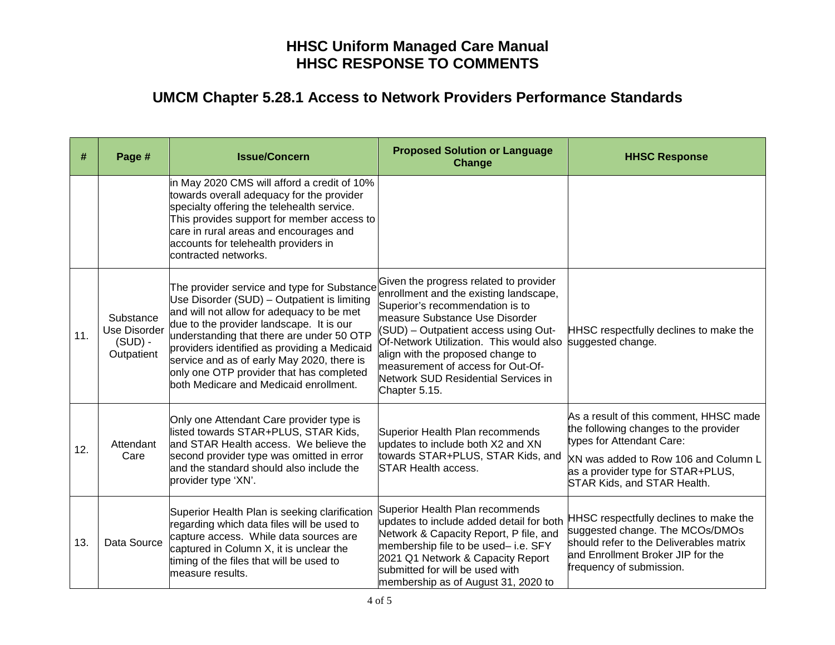| #   | Page #                                                      | <b>Issue/Concern</b>                                                                                                                                                                                                                                                                                                                                                                                                 | <b>Proposed Solution or Language</b><br><b>Change</b>                                                                                                                                                                                                                                                                                                                      | <b>HHSC Response</b>                                                                                                                                                                                                     |
|-----|-------------------------------------------------------------|----------------------------------------------------------------------------------------------------------------------------------------------------------------------------------------------------------------------------------------------------------------------------------------------------------------------------------------------------------------------------------------------------------------------|----------------------------------------------------------------------------------------------------------------------------------------------------------------------------------------------------------------------------------------------------------------------------------------------------------------------------------------------------------------------------|--------------------------------------------------------------------------------------------------------------------------------------------------------------------------------------------------------------------------|
|     |                                                             | in May 2020 CMS will afford a credit of 10%<br>towards overall adequacy for the provider<br>specialty offering the telehealth service.<br>This provides support for member access to<br>care in rural areas and encourages and<br>accounts for telehealth providers in<br>contracted networks.                                                                                                                       |                                                                                                                                                                                                                                                                                                                                                                            |                                                                                                                                                                                                                          |
| 11. | Substance<br><b>Use Disorder</b><br>$(SUD)$ -<br>Outpatient | The provider service and type for Substance<br>Use Disorder (SUD) - Outpatient is limiting<br>and will not allow for adequacy to be met<br>due to the provider landscape. It is our<br>understanding that there are under 50 OTP<br>providers identified as providing a Medicaid<br>service and as of early May 2020, there is<br>only one OTP provider that has completed<br>both Medicare and Medicaid enrollment. | Given the progress related to provider<br>enrollment and the existing landscape,<br>Superior's recommendation is to<br>measure Substance Use Disorder<br>(SUD) - Outpatient access using Out-<br>Of-Network Utilization. This would also<br>align with the proposed change to<br>measurement of access for Out-Of-<br>Network SUD Residential Services in<br>Chapter 5.15. | HHSC respectfully declines to make the<br>suggested change.                                                                                                                                                              |
| 12. | Attendant<br>Care                                           | Only one Attendant Care provider type is<br>listed towards STAR+PLUS, STAR Kids,<br>and STAR Health access. We believe the<br>second provider type was omitted in error<br>and the standard should also include the<br>provider type 'XN'.                                                                                                                                                                           | Superior Health Plan recommends<br>updates to include both X2 and XN<br>towards STAR+PLUS, STAR Kids, and<br><b>STAR Health access.</b>                                                                                                                                                                                                                                    | As a result of this comment, HHSC made<br>the following changes to the provider<br>types for Attendant Care:<br>XN was added to Row 106 and Column L<br>as a provider type for STAR+PLUS,<br>STAR Kids, and STAR Health. |
| 13. | Data Source                                                 | Superior Health Plan is seeking clarification<br>regarding which data files will be used to<br>capture access. While data sources are<br>captured in Column X, it is unclear the<br>timing of the files that will be used to<br>measure results.                                                                                                                                                                     | Superior Health Plan recommends<br>updates to include added detail for both<br>Network & Capacity Report, P file, and<br>membership file to be used-i.e. SFY<br>2021 Q1 Network & Capacity Report<br>submitted for will be used with<br>membership as of August 31, 2020 to                                                                                                | HHSC respectfully declines to make the<br>suggested change. The MCOs/DMOs<br>should refer to the Deliverables matrix<br>and Enrollment Broker JIP for the<br>frequency of submission.                                    |